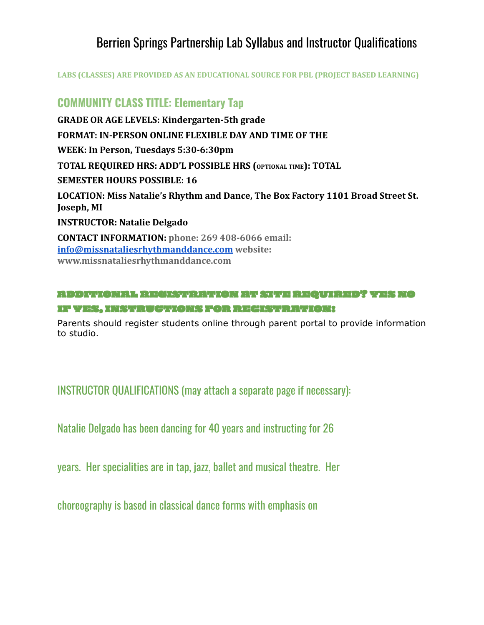# Berrien Springs Partnership Lab Syllabus and Instructor Qualifications

**LABS (CLASSES) ARE PROVIDED AS AN EDUCATIONAL SOURCE FOR PBL (PROJECT BASED LEARNING)**

### **COMMUNITY CLASS TITLE: Elementary Tap**

**GRADE OR AGE LEVELS: Kindergarten-5th grade FORMAT: IN-PERSON ONLINE FLEXIBLE DAY AND TIME OF THE WEEK: In Person, Tuesdays 5:30-6:30pm TOTAL REQUIRED HRS: ADD'L POSSIBLE HRS (OPTIONAL TIME): TOTAL SEMESTER HOURS POSSIBLE: 16 LOCATION: Miss Natalie's Rhythm and Dance, The Box Factory 1101 Broad Street St. Joseph, MI INSTRUCTOR: Natalie Delgado CONTACT INFORMATION: phone: 269 408-6066 email: [info@missnataliesrhythmanddance.com](mailto:info@missnataliesrhythmanddance.com) website: www.missnataliesrhythmanddance.com**

#### ADDITIONAL REGISTRATION AT SITE REQUIRED? YES NO IF YES, INSTRUCTIONS FOR REGISTRATION:

Parents should register students online through parent portal to provide information to studio.

INSTRUCTOR QUALIFICATIONS (may attach a separate page if necessary):

Natalie Delgado has been dancing for 40 years and instructing for 26

years. Her specialities are in tap, jazz, ballet and musical theatre. Her

choreography is based in classical dance forms with emphasis on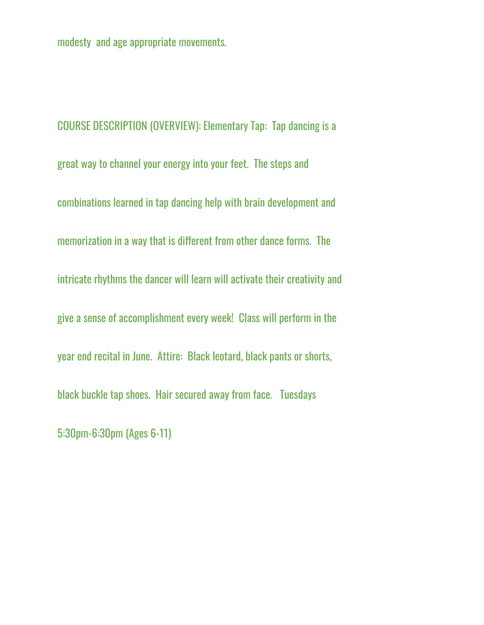modesty and age appropriate movements.

COURSE DESCRIPTION (OVERVIEW): Elementary Tap: Tap dancing is a great way to channel your energy into your feet. The steps and combinations learned in tap dancing help with brain development and memorization in a way that is different from other dance forms. The intricate rhythms the dancer will learn will activate their creativity and give a sense of accomplishment every week! Class will perform in the year end recital in June. Attire: Black leotard, black pants or shorts, black buckle tap shoes. Hair secured away from face. Tuesdays 5:30pm-6:30pm (Ages 6-11)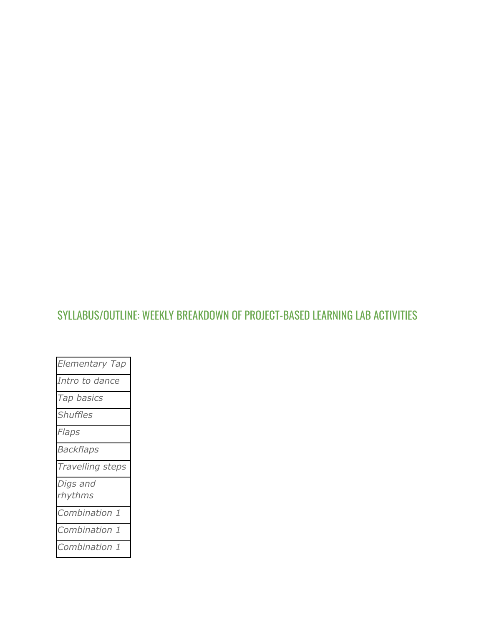# SYLLABUS/OUTLINE: WEEKLY BREAKDOWN OF PROJECT-BASED LEARNING LAB ACTIVITIES

| <b>Elementary Tap</b> |
|-----------------------|
| Intro to dance        |
| Tap basics            |
| <b>Shuffles</b>       |
| Flaps                 |
| <b>Backflaps</b>      |
| Travelling steps      |
| Digs and<br>rhythms   |
| Combination 1         |
| Combination 1         |
| Combination 1         |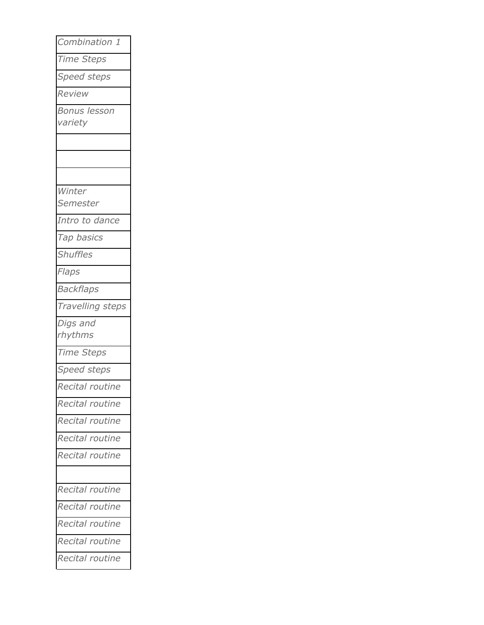| Combination 1       |
|---------------------|
| Time Steps          |
| Speed steps         |
| Review              |
| <b>Bonus lesson</b> |
| variety             |
|                     |
|                     |
|                     |
| Winter              |
| Semester            |
| Intro to dance      |
| Tap basics          |
| <b>Shuffles</b>     |
| Flaps               |
| <b>Backflaps</b>    |
| Travelling steps    |
| Digs and            |
| rhythms             |
| Time Steps          |
| Speed steps         |
| Recital routine     |
| Recital routine     |
| Recital routine     |
| Recital routine     |
| Recital routine     |
|                     |
| Recital routine     |
| Recital routine     |
| Recital routine     |
| Recital routine     |
| Recital routine     |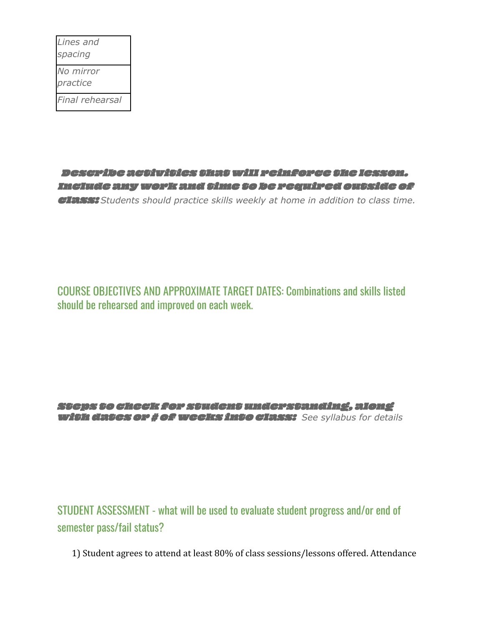| Lines and       |
|-----------------|
| spacing         |
| No mirror       |
| practice        |
| Final rehearsal |

Describe activities that will reinforce the lesson. Include anywork and time to be required outside of class: *Students should practice skills weekly at home in addition to class time.*

COURSE OBJECTIVES AND APPROXIMATE TARGET DATES: Combinations and skills listed should be rehearsed and improved on each week.

Steps to check for student understanding, along with dates or # ofweeks into class: *See syllabus for details*

STUDENT ASSESSMENT - what will be used to evaluate student progress and/or end of semester pass/fail status?

1) Student agrees to attend at least 80% of class sessions/lessons offered. Attendance